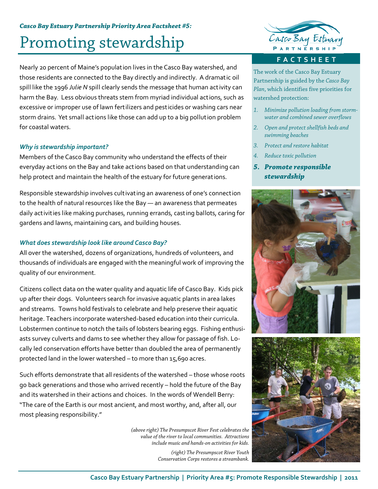### *Casco Bay Estuary Partnership Priority Area Factsheet #5:*

# Promoting stewardship

Nearly 20 percent of Maine's population lives in the Casco Bay watershed, and those residents are connected to the Bay directly and indirectly. A dramatic oil spill like the 1996 *Julie N* spill clearly sends the message that human activity can harm the Bay. Less obvious threats stem from myriad individual actions, such as excessive or improper use of lawn fertilizers and pesticides or washing cars near storm drains. Yet small actions like those can add up to a big pollution problem for coastal waters.

### *Why is stewardship important?*

Members of the Casco Bay community who understand the effects of their everyday actions on the Bay and take actions based on that understanding can help protect and maintain the health of the estuary for future generations.

Responsible stewardship involves cultivating an awareness of one's connection to the health of natural resources like the Bay — an awareness that permeates daily activities like making purchases, running errands, casting ballots, caring for gardens and lawns, maintaining cars, and building houses.

### *What does stewardship look like around Casco Bay?*

All over the watershed, dozens of organizations, hundreds of volunteers, and thousands of individuals are engaged with the meaningful work of improving the quality of our environment.

Citizens collect data on the water quality and aquatic life of Casco Bay. Kids pick up after their dogs. Volunteers search for invasive aquatic plants in area lakes and streams. Towns hold festivals to celebrate and help preserve their aquatic heritage. Teachers incorporate watershed-based education into their curricula. Lobstermen continue to notch the tails of lobsters bearing eggs. Fishing enthusi‐ asts survey culverts and dams to see whether they allow for passage of fish. Locally led conservation efforts have better than doubled the area of permanently protected land in the lower watershed – to more than 15,690 acres.

Such efforts demonstrate that all residents of the watershed – those whose roots go back generations and those who arrived recently – hold the future of the Bay and its watershed in their actions and choices. In the words of Wendell Berry: "The care of the Earth is our most ancient, and most worthy, and, after all, our most pleasing responsibility."

> *(above right) The Presumpscot River Fest celebrates the value of the river to local communities. Attractions include music and hands-on activities for kids.*

> > *(right) The Presumpscot River Youth Conservation Corps restores a streambank.*



**FACTSHEET**

The work of the Casco Bay Estuary Partnership is guided by the *Casco Bay Plan*, which identifies five priorities for watershed protection:

- *1. Minimize pollution loading from stormwater and combined sewer overflows*
- *2. Open and protect shellfish beds and swimming beaches*
- *3. Protect and restore habitat*
- *4. Reduce toxic pollution*
- *5. Promote responsible stewardship*



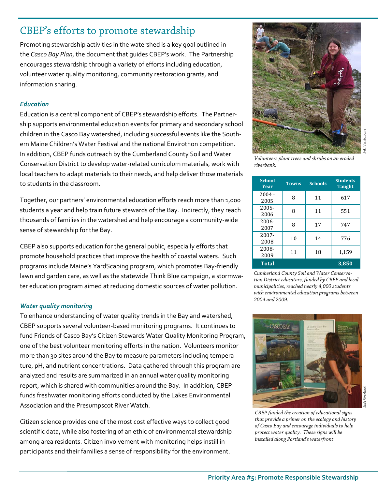# CBEP's efforts to promote stewardship

Promoting stewardship activities in the watershed is a key goal outlined in the *Casco Bay Plan*, the document that guides CBEP's work. The Partnership encourages stewardship through a variety of efforts including education, volunteer water quality monitoring, community restoration grants, and information sharing.

### *Education*

Education is a central component of CBEP's stewardship efforts. The Partner‐ ship supports environmental education events for primary and secondary school children in the Casco Bay watershed, including successful events like the South‐ ern Maine Children's Water Festival and the national Envirothon competition. In addition, CBEP funds outreach by the Cumberland County Soil and Water Conservation District to develop water‐related curriculum materials, work with local teachers to adapt materials to their needs, and help deliver those materials to students in the classroom.

Together, our partners' environmental education efforts reach more than 1,000 students a year and help train future stewards of the Bay. Indirectly, they reach thousands of families in the watershed and help encourage a community‐wide sense of stewardship for the Bay.

CBEP also supports education for the general public, especially efforts that promote household practices that improve the health of coastal waters. Such programs include Maine's YardScaping program, which promotes Bay‐friendly lawn and garden care, as well as the statewide Think Blue campaign, a stormwa‐ ter education program aimed at reducing domestic sources of water pollution.

### *Water quality monitoring*

To enhance understanding of water quality trends in the Bay and watershed, CBEP supports several volunteer‐based monitoring programs. It continues to fund Friends of Casco Bay's Citizen Stewards Water Quality Monitoring Program, one of the best volunteer monitoring efforts in the nation. Volunteers monitor more than 30 sites around the Bay to measure parameters including tempera‐ ture, pH, and nutrient concentrations. Data gathered through this program are analyzed and results are summarized in an annual water quality monitoring report, which is shared with communities around the Bay. In addition, CBEP funds freshwater monitoring efforts conducted by the Lakes Environmental Association and the Presumpscot River Watch.

Citizen science provides one of the most cost effective ways to collect good scientific data, while also fostering of an ethic of environmental stewardship among area residents. Citizen involvement with monitoring helps instill in participants and their families a sense of responsibility for the environment.



*Volunteers plant trees and shrubs on an eroded riverbank.* 

| <b>School</b><br>Year | <b>Towns</b> | <b>Schools</b> | <b>Students</b><br><b>Taught</b> |
|-----------------------|--------------|----------------|----------------------------------|
| $2004 -$<br>2005      | 8            | 11             | 617                              |
| 2005-<br>2006         | 8            | 11             | 551                              |
| 2006-<br>2007         | 8            | 17             | 747                              |
| 2007-<br>2008         | 10           | 14             | 776                              |
| 2008-<br>2009         | 11           | 18             | 1,159                            |
| <b>Total</b>          |              |                | 3,850                            |

*Cumberland County Soil and Water Conservation District educators, funded by CBEP and local municipalities, reached nearly 4,000 students with environmental education programs between 2004 and 2009.* 



*CBEP funded the creation of educational signs that provide a primer on the ecology and history of Casco Bay and encourage individuals to help protect water quality. These signs will be installed along Portland's waterfront.*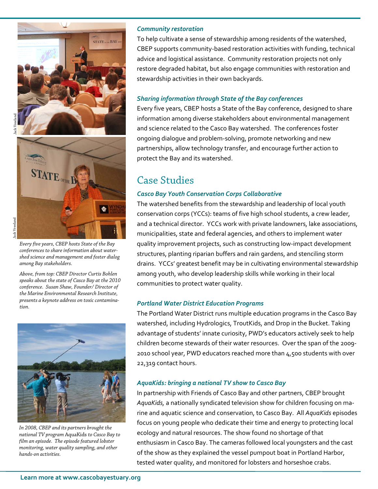



*Every five years, CBEP hosts State of the Bay conferences to share information about watershed science and management and foster dialog among Bay stakeholders.* 

*Above, from top: CBEP Director Curtis Bohlen speaks about the state of Casco Bay at the 2010 conference. Susan Shaw, Founder/ Director of the Marine Environmental Research Institute, presents a keynote address on toxic contamination.* 



*In 2008, CBEP and its partners brought the national TV program* AquaKids *to Casco Bay to film an episode. The episode featured lobster monitoring, water quality sampling, and other hands-on activities.* 

#### *Community restoration*

To help cultivate a sense of stewardship among residents of the watershed, CBEP supports community‐based restoration activities with funding, technical advice and logistical assistance. Community restoration projects not only restore degraded habitat, but also engage communities with restoration and stewardship activities in their own backyards.

### *Sharing information through State of the Bay conferences*

Every five years, CBEP hosts a State of the Bay conference, designed to share information among diverse stakeholders about environmental management and science related to the Casco Bay watershed. The conferences foster ongoing dialogue and problem‐solving, promote networking and new partnerships, allow technology transfer, and encourage further action to protect the Bay and its watershed.

### Case Studies

### *Casco Bay Youth Conservation Corps Collaborative*

The watershed benefits from the stewardship and leadership of local youth conservation corps (YCCs): teams of five high school students, a crew leader, and a technical director. YCCs work with private landowners, lake associations, municipalities, state and federal agencies, and others to implement water quality improvement projects, such as constructing low‐impact development structures, planting riparian buffers and rain gardens, and stenciling storm drains. YCCs' greatest benefit may be in cultivating environmental stewardship among youth, who develop leadership skills while working in their local communities to protect water quality.

### *Portland Water District Education Programs*

The Portland Water District runs multiple education programs in the Casco Bay watershed, including Hydrologics, TroutKids, and Drop in the Bucket. Taking advantage of students' innate curiosity, PWD's educators actively seek to help children become stewards of their water resources. Over the span of the 2009‐ 2010 school year, PWD educators reached more than 4,500 students with over 22,319 contact hours.

#### *AquaKids: bringing a national TV show to Casco Bay*

In partnership with Friends of Casco Bay and other partners, CBEP brought *AquaKids,* a nationally syndicated television show for children focusing on ma‐ rine and aquatic science and conservation, to Casco Bay. All *AquaKids* episodes focus on young people who dedicate their time and energy to protecting local ecology and natural resources. The show found no shortage of that enthusiasm in Casco Bay. The cameras followed local youngsters and the cast of the show as they explained the vessel pumpout boat in Portland Harbor, tested water quality, and monitored for lobsters and horseshoe crabs.